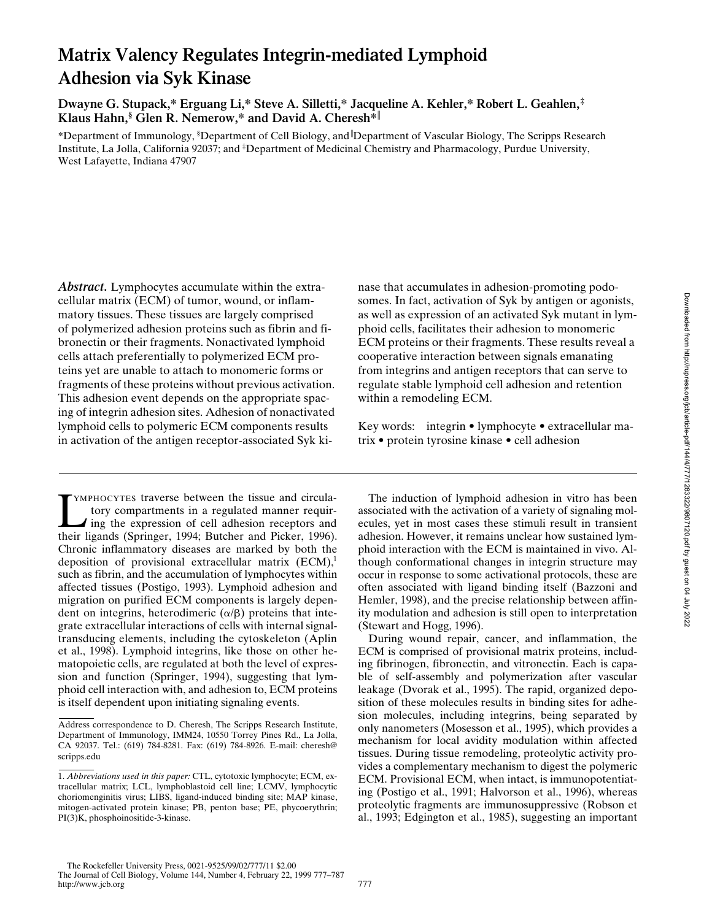# **Matrix Valency Regulates Integrin-mediated Lymphoid Adhesion via Syk Kinase**

**Dwayne G. Stupack,\* Erguang Li,\* Steve A. Silletti,\* Jacqueline A. Kehler,\* Robert L. Geahlen,‡ Klaus Hahn,§ Glen R. Nemerow,\* and David A. Cheresh\***<sup>i</sup>

\*Department of Immunology, § Department of Cell Biology, and <sup>i</sup> Department of Vascular Biology, The Scripps Research Institute, La Jolla, California 92037; and ‡ Department of Medicinal Chemistry and Pharmacology, Purdue University, West Lafayette, Indiana 47907

*Abstract.* Lymphocytes accumulate within the extracellular matrix (ECM) of tumor, wound, or inflammatory tissues. These tissues are largely comprised of polymerized adhesion proteins such as fibrin and fibronectin or their fragments. Nonactivated lymphoid cells attach preferentially to polymerized ECM proteins yet are unable to attach to monomeric forms or fragments of these proteins without previous activation. This adhesion event depends on the appropriate spacing of integrin adhesion sites. Adhesion of nonactivated lymphoid cells to polymeric ECM components results in activation of the antigen receptor-associated Syk ki-

TEXAPHOCYTES traverse between the tissue and circula-<br>tory compartments in a regulated manner requir-<br>ing the expression of cell adhesion receptors and<br>their ligands (Springer, 1994; Butcher and Picker, 1996). YMPHOCYTES traverse between the tissue and circulatory compartments in a regulated manner requiring the expression of cell adhesion receptors and Chronic inflammatory diseases are marked by both the deposition of provisional extracellular matrix  $(ECM)$ ,<sup>1</sup> such as fibrin, and the accumulation of lymphocytes within affected tissues (Postigo, 1993). Lymphoid adhesion and migration on purified ECM components is largely dependent on integrins, heterodimeric  $(\alpha/\beta)$  proteins that integrate extracellular interactions of cells with internal signaltransducing elements, including the cytoskeleton (Aplin et al., 1998). Lymphoid integrins, like those on other hematopoietic cells, are regulated at both the level of expression and function (Springer, 1994), suggesting that lymphoid cell interaction with, and adhesion to, ECM proteins is itself dependent upon initiating signaling events.

nase that accumulates in adhesion-promoting podosomes. In fact, activation of Syk by antigen or agonists, as well as expression of an activated Syk mutant in lymphoid cells, facilitates their adhesion to monomeric ECM proteins or their fragments. These results reveal a cooperative interaction between signals emanating from integrins and antigen receptors that can serve to regulate stable lymphoid cell adhesion and retention within a remodeling ECM.

Key words: integrin • lymphocyte • extracellular matrix • protein tyrosine kinase • cell adhesion

The induction of lymphoid adhesion in vitro has been associated with the activation of a variety of signaling molecules, yet in most cases these stimuli result in transient adhesion. However, it remains unclear how sustained lymphoid interaction with the ECM is maintained in vivo. Although conformational changes in integrin structure may occur in response to some activational protocols, these are often associated with ligand binding itself (Bazzoni and Hemler, 1998), and the precise relationship between affinity modulation and adhesion is still open to interpretation (Stewart and Hogg, 1996).

During wound repair, cancer, and inflammation, the ECM is comprised of provisional matrix proteins, including fibrinogen, fibronectin, and vitronectin. Each is capable of self-assembly and polymerization after vascular leakage (Dvorak et al., 1995). The rapid, organized deposition of these molecules results in binding sites for adhesion molecules, including integrins, being separated by only nanometers (Mosesson et al., 1995), which provides a mechanism for local avidity modulation within affected tissues. During tissue remodeling, proteolytic activity provides a complementary mechanism to digest the polymeric ECM. Provisional ECM, when intact, is immunopotentiating (Postigo et al., 1991; Halvorson et al., 1996), whereas proteolytic fragments are immunosuppressive (Robson et al., 1993; Edgington et al., 1985), suggesting an important

Address correspondence to D. Cheresh, The Scripps Research Institute, Department of Immunology, IMM24, 10550 Torrey Pines Rd., La Jolla, CA 92037. Tel.: (619) 784-8281. Fax: (619) 784-8926. E-mail: cheresh@ scripps.edu

<sup>1.</sup> *Abbreviations used in this paper:* CTL, cytotoxic lymphocyte; ECM, extracellular matrix; LCL, lymphoblastoid cell line; LCMV, lymphocytic choriomenginitis virus; LIBS, ligand-induced binding site; MAP kinase, mitogen-activated protein kinase; PB, penton base; PE, phycoerythrin; PI(3)K, phosphoinositide-3-kinase.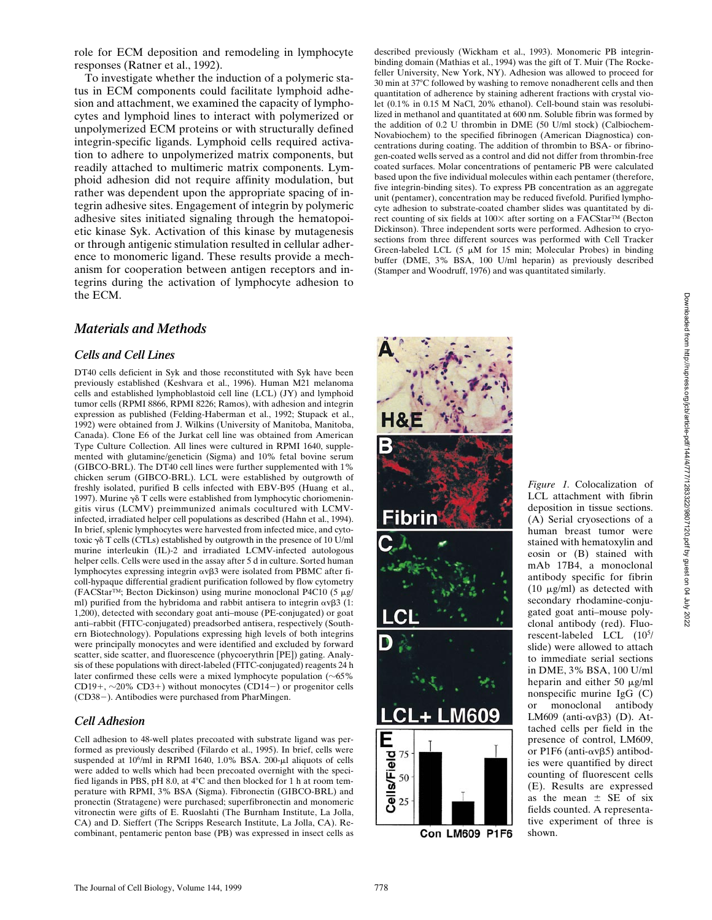role for ECM deposition and remodeling in lymphocyte responses (Ratner et al., 1992).

To investigate whether the induction of a polymeric status in ECM components could facilitate lymphoid adhesion and attachment, we examined the capacity of lymphocytes and lymphoid lines to interact with polymerized or unpolymerized ECM proteins or with structurally defined integrin-specific ligands. Lymphoid cells required activation to adhere to unpolymerized matrix components, but readily attached to multimeric matrix components. Lymphoid adhesion did not require affinity modulation, but rather was dependent upon the appropriate spacing of integrin adhesive sites. Engagement of integrin by polymeric adhesive sites initiated signaling through the hematopoietic kinase Syk. Activation of this kinase by mutagenesis or through antigenic stimulation resulted in cellular adherence to monomeric ligand. These results provide a mechanism for cooperation between antigen receptors and integrins during the activation of lymphocyte adhesion to the ECM.

# *Materials and Methods*

# *Cells and Cell Lines*

DT40 cells deficient in Syk and those reconstituted with Syk have been previously established (Keshvara et al., 1996). Human M21 melanoma cells and established lymphoblastoid cell line (LCL) (JY) and lymphoid tumor cells (RPMI 8866, RPMI 8226; Ramos), with adhesion and integrin expression as published (Felding-Haberman et al., 1992; Stupack et al., 1992) were obtained from J. Wilkins (University of Manitoba, Manitoba, Canada). Clone E6 of the Jurkat cell line was obtained from American Type Culture Collection. All lines were cultured in RPMI 1640, supplemented with glutamine/geneticin (Sigma) and 10% fetal bovine serum (GIBCO-BRL). The DT40 cell lines were further supplemented with 1% chicken serum (GIBCO-BRL). LCL were established by outgrowth of freshly isolated, purified B cells infected with EBV-B95 (Huang et al., 1997). Murine  $\gamma\delta$  T cells were established from lymphocytic choriomeningitis virus (LCMV) preimmunized animals cocultured with LCMVinfected, irradiated helper cell populations as described (Hahn et al., 1994). In brief, splenic lymphocytes were harvested from infected mice, and cytotoxic  $\gamma\delta$  T cells (CTLs) established by outgrowth in the presence of 10 U/ml murine interleukin (IL)-2 and irradiated LCMV-infected autologous helper cells. Cells were used in the assay after 5 d in culture. Sorted human lymphocytes expressing integrin  $\alpha$ v $\beta$ 3 were isolated from PBMC after ficoll-hypaque differential gradient purification followed by flow cytometry (FACStar<sup>TM</sup>; Becton Dickinson) using murine monoclonal P4C10 (5  $\mu$ g/ ml) purified from the hybridoma and rabbit antisera to integrin  $\alpha v\beta 3$  (1: 1,200), detected with secondary goat anti–mouse (PE-conjugated) or goat anti–rabbit (FITC-conjugated) preadsorbed antisera, respectively (Southern Biotechnology). Populations expressing high levels of both integrins were principally monocytes and were identified and excluded by forward scatter, side scatter, and fluorescence (phycoerythrin [PE]) gating. Analysis of these populations with direct-labeled (FITC-conjugated) reagents 24 h later confirmed these cells were a mixed lymphocyte population  $(\sim 65\%$ CD19+,  $\sim$ 20% CD3+) without monocytes (CD14-) or progenitor cells (CD38-). Antibodies were purchased from PharMingen.

# *Cell Adhesion*

Cell adhesion to 48-well plates precoated with substrate ligand was performed as previously described (Filardo et al., 1995). In brief, cells were suspended at 10<sup>6</sup>/ml in RPMI 1640, 1.0% BSA. 200-µl aliquots of cells were added to wells which had been precoated overnight with the specified ligands in PBS, pH 8.0, at  $4^{\circ}$ C and then blocked for 1 h at room temperature with RPMI, 3% BSA (Sigma). Fibronectin (GIBCO-BRL) and pronectin (Stratagene) were purchased; superfibronectin and monomeric vitronectin were gifts of E. Ruoslahti (The Burnham Institute, La Jolla, CA) and D. Sieffert (The Scripps Research Institute, La Jolla, CA). Recombinant, pentameric penton base (PB) was expressed in insect cells as

described previously (Wickham et al., 1993). Monomeric PB integrinbinding domain (Mathias et al., 1994) was the gift of T. Muir (The Rockefeller University, New York, NY). Adhesion was allowed to proceed for 30 min at 37°C followed by washing to remove nonadherent cells and then quantitation of adherence by staining adherent fractions with crystal violet (0.1% in 0.15 M NaCl, 20% ethanol). Cell-bound stain was resolubilized in methanol and quantitated at 600 nm. Soluble fibrin was formed by the addition of 0.2 U thrombin in DME (50 U/ml stock) (Calbiochem-Novabiochem) to the specified fibrinogen (American Diagnostica) concentrations during coating. The addition of thrombin to BSA- or fibrinogen-coated wells served as a control and did not differ from thrombin-free coated surfaces. Molar concentrations of pentameric PB were calculated based upon the five individual molecules within each pentamer (therefore, five integrin-binding sites). To express PB concentration as an aggregate unit (pentamer), concentration may be reduced fivefold. Purified lymphocyte adhesion to substrate-coated chamber slides was quantitated by direct counting of six fields at  $100\times$  after sorting on a FACStar<sup>™</sup> (Becton Dickinson). Three independent sorts were performed. Adhesion to cryosections from three different sources was performed with Cell Tracker Green-labeled LCL  $(5 \mu M)$  for 15 min; Molecular Probes) in binding buffer (DME, 3% BSA, 100 U/ml heparin) as previously described (Stamper and Woodruff, 1976) and was quantitated similarly.



Con LM609 P1F6

*Figure 1.* Colocalization of LCL attachment with fibrin deposition in tissue sections. (A) Serial cryosections of a human breast tumor were stained with hematoxylin and eosin or (B) stained with mAb 17B4, a monoclonal antibody specific for fibrin (10  $\mu$ g/ml) as detected with secondary rhodamine-conjugated goat anti–mouse polyclonal antibody (red). Fluorescent-labeled LCL (10<sup>5</sup> / slide) were allowed to attach to immediate serial sections in DME, 3% BSA, 100 U/ml heparin and either 50  $\mu$ g/ml nonspecific murine IgG (C) or monoclonal antibody LM609 (anti- $\alpha v\beta3$ ) (D). Attached cells per field in the presence of control, LM609, or P1F6 (anti- $\alpha \nu \beta$ 5) antibodies were quantified by direct counting of fluorescent cells (E). Results are expressed as the mean  $\pm$  SE of six fields counted. A representative experiment of three is shown.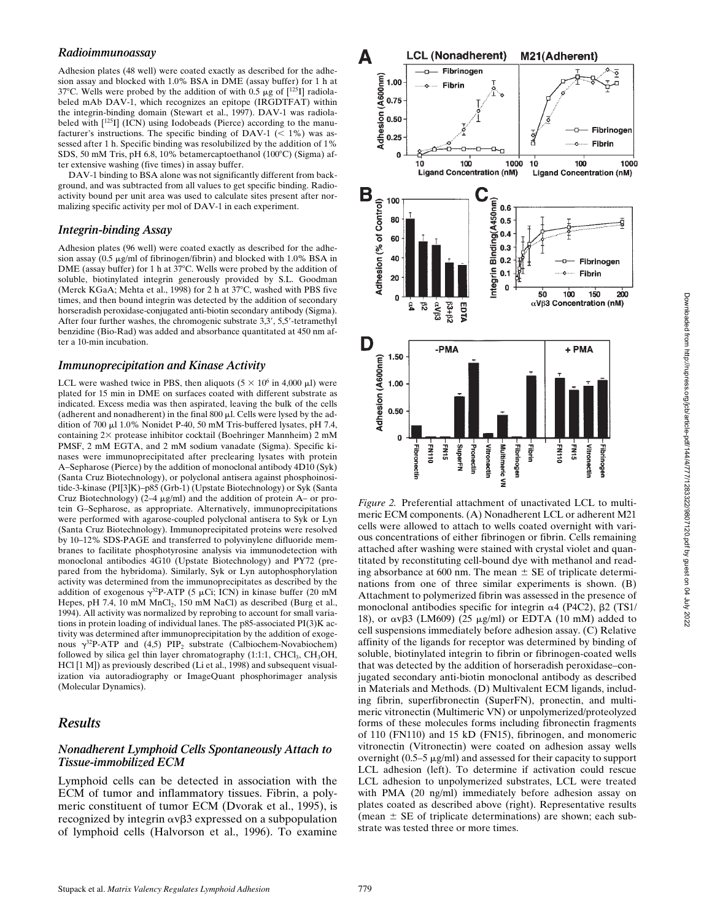#### *Radioimmunoassay*

Adhesion plates (48 well) were coated exactly as described for the adhesion assay and blocked with 1.0% BSA in DME (assay buffer) for 1 h at 37°C. Wells were probed by the addition of with 0.5  $\mu$ g of [125I] radiolabeled mAb DAV-1, which recognizes an epitope (IRGDTFAT) within the integrin-binding domain (Stewart et al., 1997). DAV-1 was radiolabeled with  $\left[125I\right]$  (ICN) using Iodobeads (Pierce) according to the manufacturer's instructions. The specific binding of DAV-1 ( $<$  1%) was assessed after 1 h. Specific binding was resolubilized by the addition of 1% SDS, 50 mM Tris, pH 6.8, 10% betamercaptoethanol  $(100^{\circ}C)$  (Sigma) after extensive washing (five times) in assay buffer.

DAV-1 binding to BSA alone was not significantly different from background, and was subtracted from all values to get specific binding. Radioactivity bound per unit area was used to calculate sites present after normalizing specific activity per mol of DAV-1 in each experiment.

#### *Integrin-binding Assay*

Adhesion plates (96 well) were coated exactly as described for the adhesion assay  $(0.5 \mu g/ml$  of fibrinogen/fibrin) and blocked with 1.0% BSA in DME (assay buffer) for 1 h at 37°C. Wells were probed by the addition of soluble, biotinylated integrin generously provided by S.L. Goodman (Merck KGaA; Mehta et al., 1998) for 2 h at  $37^{\circ}$ C, washed with PBS five times, and then bound integrin was detected by the addition of secondary horseradish peroxidase-conjugated anti-biotin secondary antibody (Sigma). After four further washes, the chromogenic substrate  $3,3', 5,5'$ -tetramethyl benzidine (Bio-Rad) was added and absorbance quantitated at 450 nm after a 10-min incubation.

#### *Immunoprecipitation and Kinase Activity*

LCL were washed twice in PBS, then aliquots  $(5 \times 10^6 \text{ in } 4{,}000 \text{ }\mu\text{I})$  were plated for 15 min in DME on surfaces coated with different substrate as indicated. Excess media was then aspirated, leaving the bulk of the cells (adherent and nonadherent) in the final  $800 \mu$ . Cells were lysed by the addition of 700 µl 1.0% Nonidet P-40, 50 mM Tris-buffered lysates, pH 7.4, containing 2× protease inhibitor cocktail (Boehringer Mannheim) 2 mM PMSF, 2 mM EGTA, and 2 mM sodium vanadate (Sigma). Specific kinases were immunoprecipitated after preclearing lysates with protein A–Sepharose (Pierce) by the addition of monoclonal antibody 4D10 (Syk) (Santa Cruz Biotechnology), or polyclonal antisera against phosphoinositide-3-kinase (PI[3]K)–p85 (Grb-1) (Upstate Biotechnology) or Syk (Santa Cruz Biotechnology) ( $2-4 \mu g/ml$ ) and the addition of protein A– or protein G–Sepharose, as appropriate. Alternatively, immunoprecipitations were performed with agarose-coupled polyclonal antisera to Syk or Lyn (Santa Cruz Biotechnology). Immunoprecipitated proteins were resolved by 10–12% SDS-PAGE and transferred to polyvinylene difluoride membranes to facilitate phosphotyrosine analysis via immunodetection with monoclonal antibodies 4G10 (Upstate Biotechnology) and PY72 (prepared from the hybridoma). Similarly, Syk or Lyn autophosphorylation activity was determined from the immunoprecipitates as described by the addition of exogenous  $\gamma^{32}P-ATP$  (5 µCi; ICN) in kinase buffer (20 mM Hepes, pH 7.4, 10 mM  $MnCl<sub>2</sub>$ , 150 mM NaCl) as described (Burg et al., 1994). All activity was normalized by reprobing to account for small variations in protein loading of individual lanes. The p85-associated PI(3)K activity was determined after immunoprecipitation by the addition of exogenous  $\gamma^{32}P$ -ATP and (4,5) PIP<sub>2</sub> substrate (Calbiochem-Novabiochem) followed by silica gel thin layer chromatography  $(1:1:1, CHCl<sub>3</sub>, CH<sub>3</sub>OH,$ HCl [1 M]) as previously described (Li et al., 1998) and subsequent visualization via autoradiography or ImageQuant phosphorimager analysis (Molecular Dynamics).

# *Results*

## *Nonadherent Lymphoid Cells Spontaneously Attach to Tissue-immobilized ECM*

Lymphoid cells can be detected in association with the ECM of tumor and inflammatory tissues. Fibrin, a polymeric constituent of tumor ECM (Dvorak et al., 1995), is recognized by integrin  $\alpha \nu \beta$ 3 expressed on a subpopulation of lymphoid cells (Halvorson et al., 1996). To examine



*Figure 2.* Preferential attachment of unactivated LCL to multimeric ECM components. (A) Nonadherent LCL or adherent M21 cells were allowed to attach to wells coated overnight with various concentrations of either fibrinogen or fibrin. Cells remaining attached after washing were stained with crystal violet and quantitated by reconstituting cell-bound dye with methanol and reading absorbance at 600 nm. The mean  $\pm$  SE of triplicate determinations from one of three similar experiments is shown. (B) Attachment to polymerized fibrin was assessed in the presence of monoclonal antibodies specific for integrin  $\alpha$ 4 (P4C2),  $\beta$ 2 (TS1/ 18), or  $\alpha v\beta3$  (LM609) (25  $\mu$ g/ml) or EDTA (10 mM) added to cell suspensions immediately before adhesion assay. (C) Relative affinity of the ligands for receptor was determined by binding of soluble, biotinylated integrin to fibrin or fibrinogen-coated wells that was detected by the addition of horseradish peroxidase–conjugated secondary anti-biotin monoclonal antibody as described in Materials and Methods. (D) Multivalent ECM ligands, including fibrin, superfibronectin (SuperFN), pronectin, and multimeric vitronectin (Multimeric VN) or unpolymerized/proteolyzed forms of these molecules forms including fibronectin fragments of 110 (FN110) and 15 kD (FN15), fibrinogen, and monomeric vitronectin (Vitronectin) were coated on adhesion assay wells overnight  $(0.5-5 \mu g/ml)$  and assessed for their capacity to support LCL adhesion (left). To determine if activation could rescue LCL adhesion to unpolymerized substrates, LCL were treated with PMA (20 ng/ml) immediately before adhesion assay on plates coated as described above (right). Representative results (mean  $\pm$  SE of triplicate determinations) are shown; each substrate was tested three or more times.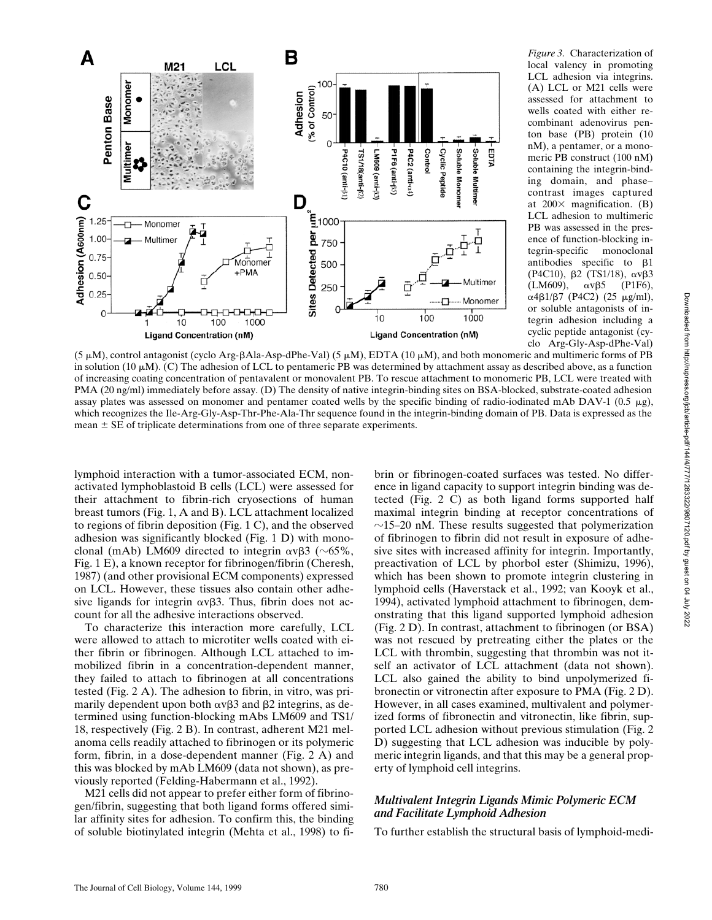

*Figure 3.* Characterization of local valency in promoting LCL adhesion via integrins. (A) LCL or M21 cells were assessed for attachment to wells coated with either recombinant adenovirus penton base (PB) protein (10 nM), a pentamer, or a monomeric PB construct (100 nM) containing the integrin-binding domain, and phase– contrast images captured at  $200\times$  magnification. (B) LCL adhesion to multimeric PB was assessed in the presence of function-blocking in-<br>tegrin-specific monoclonal tegrin-specific antibodies specific to  $\beta$ 1 (P4C10), β2 (TS1/18), ανβ3  $(LM609)$ ,  $\alpha \nu \beta 5$  (P1F6),  $α4β1/β7$  (P4C2) (25 μg/ml), or soluble antagonists of integrin adhesion including a cyclic peptide antagonist (cyclo Arg-Gly-Asp-dPhe-Val)

 $(5 \mu M)$ , control antagonist (cyclo Arg-BAla-Asp-dPhe-Val)  $(5 \mu M)$ , EDTA  $(10 \mu M)$ , and both monomeric and multimeric forms of PB in solution (10  $\mu$ M). (C) The adhesion of LCL to pentameric PB was determined by attachment assay as described above, as a function of increasing coating concentration of pentavalent or monovalent PB. To rescue attachment to monomeric PB, LCL were treated with PMA (20 ng/ml) immediately before assay. (D) The density of native integrin-binding sites on BSA-blocked, substrate-coated adhesion assay plates was assessed on monomer and pentamer coated wells by the specific binding of radio-iodinated mAb DAV-1 (0.5  $\mu$ g), which recognizes the Ile-Arg-Gly-Asp-Thr-Phe-Ala-Thr sequence found in the integrin-binding domain of PB. Data is expressed as the mean  $\pm$  SE of triplicate determinations from one of three separate experiments.

lymphoid interaction with a tumor-associated ECM, nonactivated lymphoblastoid B cells (LCL) were assessed for their attachment to fibrin-rich cryosections of human breast tumors (Fig. 1, A and B). LCL attachment localized to regions of fibrin deposition (Fig. 1 C), and the observed adhesion was significantly blocked (Fig. 1 D) with monoclonal (mAb) LM609 directed to integrin  $\alpha \nu \beta$ 3 ( $\sim 65\%$ , Fig. 1 E), a known receptor for fibrinogen/fibrin (Cheresh, 1987) (and other provisional ECM components) expressed on LCL. However, these tissues also contain other adhesive ligands for integrin  $\alpha \nu \beta$ 3. Thus, fibrin does not account for all the adhesive interactions observed.

To characterize this interaction more carefully, LCL were allowed to attach to microtiter wells coated with either fibrin or fibrinogen. Although LCL attached to immobilized fibrin in a concentration-dependent manner, they failed to attach to fibrinogen at all concentrations tested (Fig. 2 A). The adhesion to fibrin, in vitro, was primarily dependent upon both  $\alpha v\beta3$  and  $\beta2$  integrins, as determined using function-blocking mAbs LM609 and TS1/ 18, respectively (Fig. 2 B). In contrast, adherent M21 melanoma cells readily attached to fibrinogen or its polymeric form, fibrin, in a dose-dependent manner (Fig. 2 A) and this was blocked by mAb LM609 (data not shown), as previously reported (Felding-Habermann et al., 1992).

M21 cells did not appear to prefer either form of fibrinogen/fibrin, suggesting that both ligand forms offered similar affinity sites for adhesion. To confirm this, the binding of soluble biotinylated integrin (Mehta et al., 1998) to fibrin or fibrinogen-coated surfaces was tested. No difference in ligand capacity to support integrin binding was detected (Fig. 2 C) as both ligand forms supported half maximal integrin binding at receptor concentrations of  $\sim$ 15–20 nM. These results suggested that polymerization of fibrinogen to fibrin did not result in exposure of adhesive sites with increased affinity for integrin. Importantly, preactivation of LCL by phorbol ester (Shimizu, 1996), which has been shown to promote integrin clustering in lymphoid cells (Haverstack et al., 1992; van Kooyk et al., 1994), activated lymphoid attachment to fibrinogen, demonstrating that this ligand supported lymphoid adhesion (Fig. 2 D). In contrast, attachment to fibrinogen (or BSA) was not rescued by pretreating either the plates or the LCL with thrombin, suggesting that thrombin was not itself an activator of LCL attachment (data not shown). LCL also gained the ability to bind unpolymerized fibronectin or vitronectin after exposure to PMA (Fig. 2 D). However, in all cases examined, multivalent and polymerized forms of fibronectin and vitronectin, like fibrin, supported LCL adhesion without previous stimulation (Fig. 2 D) suggesting that LCL adhesion was inducible by polymeric integrin ligands, and that this may be a general property of lymphoid cell integrins.

## *Multivalent Integrin Ligands Mimic Polymeric ECM and Facilitate Lymphoid Adhesion*

To further establish the structural basis of lymphoid-medi-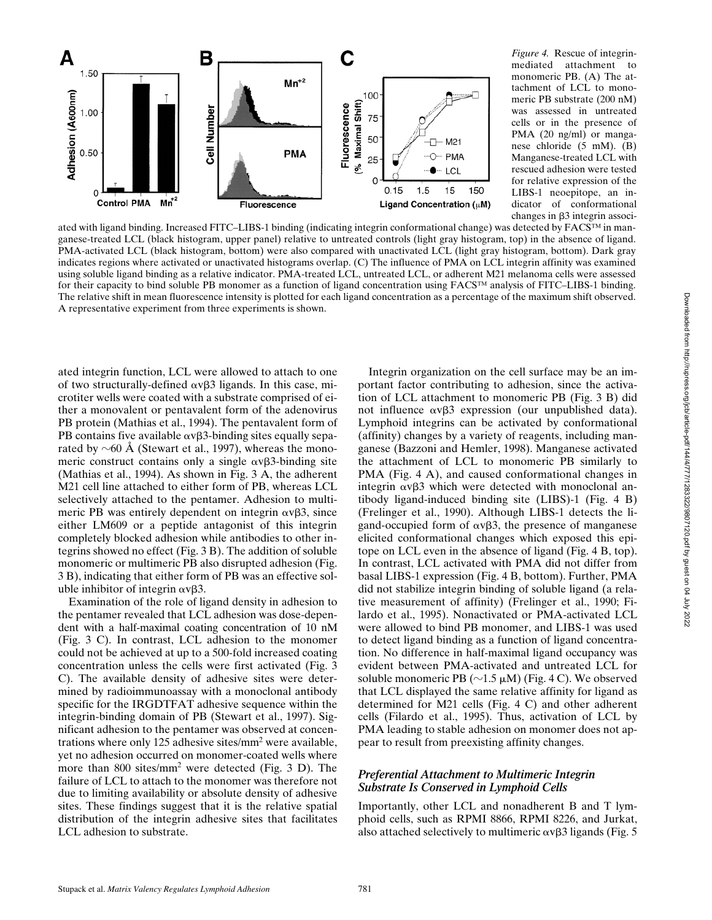

*Figure 4.* Rescue of integrinmediated attachment to monomeric PB. (A) The attachment of LCL to monomeric PB substrate (200 nM) was assessed in untreated cells or in the presence of PMA (20 ng/ml) or manganese chloride (5 mM). (B) Manganese-treated LCL with rescued adhesion were tested for relative expression of the LIBS-1 neoepitope, an indicator of conformational changes in  $\beta$ 3 integrin associ-

ated with ligand binding. Increased FITC–LIBS-1 binding (indicating integrin conformational change) was detected by FACS™ in manganese-treated LCL (black histogram, upper panel) relative to untreated controls (light gray histogram, top) in the absence of ligand. PMA-activated LCL (black histogram, bottom) were also compared with unactivated LCL (light gray histogram, bottom). Dark gray indicates regions where activated or unactivated histograms overlap. (C) The influence of PMA on LCL integrin affinity was examined using soluble ligand binding as a relative indicator. PMA-treated LCL, untreated LCL, or adherent M21 melanoma cells were assessed for their capacity to bind soluble PB monomer as a function of ligand concentration using FACS™ analysis of FITC–LIBS-1 binding. The relative shift in mean fluorescence intensity is plotted for each ligand concentration as a percentage of the maximum shift observed. A representative experiment from three experiments is shown.

ated integrin function, LCL were allowed to attach to one of two structurally-defined  $\alpha \nu \beta$ 3 ligands. In this case, microtiter wells were coated with a substrate comprised of either a monovalent or pentavalent form of the adenovirus PB protein (Mathias et al., 1994). The pentavalent form of PB contains five available  $\alpha \nu \beta$ 3-binding sites equally separated by  $\sim$  60 Å (Stewart et al., 1997), whereas the monomeric construct contains only a single  $\alpha \nu \beta$ 3-binding site (Mathias et al., 1994). As shown in Fig. 3 A, the adherent M21 cell line attached to either form of PB, whereas LCL selectively attached to the pentamer. Adhesion to multimeric PB was entirely dependent on integrin  $\alpha \nu \beta 3$ , since either LM609 or a peptide antagonist of this integrin completely blocked adhesion while antibodies to other integrins showed no effect (Fig. 3 B). The addition of soluble monomeric or multimeric PB also disrupted adhesion (Fig. 3 B), indicating that either form of PB was an effective soluble inhibitor of integrin  $\alpha \nu \beta 3$ .

Examination of the role of ligand density in adhesion to the pentamer revealed that LCL adhesion was dose-dependent with a half-maximal coating concentration of 10 nM (Fig. 3 C). In contrast, LCL adhesion to the monomer could not be achieved at up to a 500-fold increased coating concentration unless the cells were first activated (Fig. 3 C). The available density of adhesive sites were determined by radioimmunoassay with a monoclonal antibody specific for the IRGDTFAT adhesive sequence within the integrin-binding domain of PB (Stewart et al., 1997). Significant adhesion to the pentamer was observed at concentrations where only 125 adhesive sites/mm<sup>2</sup> were available, yet no adhesion occurred on monomer-coated wells where more than 800 sites/mm2 were detected (Fig. 3 D). The failure of LCL to attach to the monomer was therefore not due to limiting availability or absolute density of adhesive sites. These findings suggest that it is the relative spatial distribution of the integrin adhesive sites that facilitates LCL adhesion to substrate.

Integrin organization on the cell surface may be an important factor contributing to adhesion, since the activation of LCL attachment to monomeric PB (Fig. 3 B) did not influence  $\alpha v\beta$ 3 expression (our unpublished data). Lymphoid integrins can be activated by conformational (affinity) changes by a variety of reagents, including manganese (Bazzoni and Hemler, 1998). Manganese activated the attachment of LCL to monomeric PB similarly to PMA (Fig. 4 A), and caused conformational changes in integrin  $\alpha \nu \beta$ 3 which were detected with monoclonal antibody ligand-induced binding site (LIBS)-1 (Fig. 4 B) (Frelinger et al., 1990). Although LIBS-1 detects the ligand-occupied form of  $\alpha \nu \beta 3$ , the presence of manganese elicited conformational changes which exposed this epitope on LCL even in the absence of ligand (Fig. 4 B, top). In contrast, LCL activated with PMA did not differ from basal LIBS-1 expression (Fig. 4 B, bottom). Further, PMA did not stabilize integrin binding of soluble ligand (a relative measurement of affinity) (Frelinger et al., 1990; Filardo et al., 1995). Nonactivated or PMA-activated LCL were allowed to bind PB monomer, and LIBS-1 was used to detect ligand binding as a function of ligand concentration. No difference in half-maximal ligand occupancy was evident between PMA-activated and untreated LCL for soluble monomeric PB ( $\sim$ 1.5  $\mu$ M) (Fig. 4 C). We observed that LCL displayed the same relative affinity for ligand as determined for M21 cells (Fig. 4 C) and other adherent cells (Filardo et al., 1995). Thus, activation of LCL by PMA leading to stable adhesion on monomer does not appear to result from preexisting affinity changes.

### *Preferential Attachment to Multimeric Integrin Substrate Is Conserved in Lymphoid Cells*

Importantly, other LCL and nonadherent B and T lymphoid cells, such as RPMI 8866, RPMI 8226, and Jurkat, also attached selectively to multimeric  $\alpha \nu \beta$ 3 ligands (Fig. 5)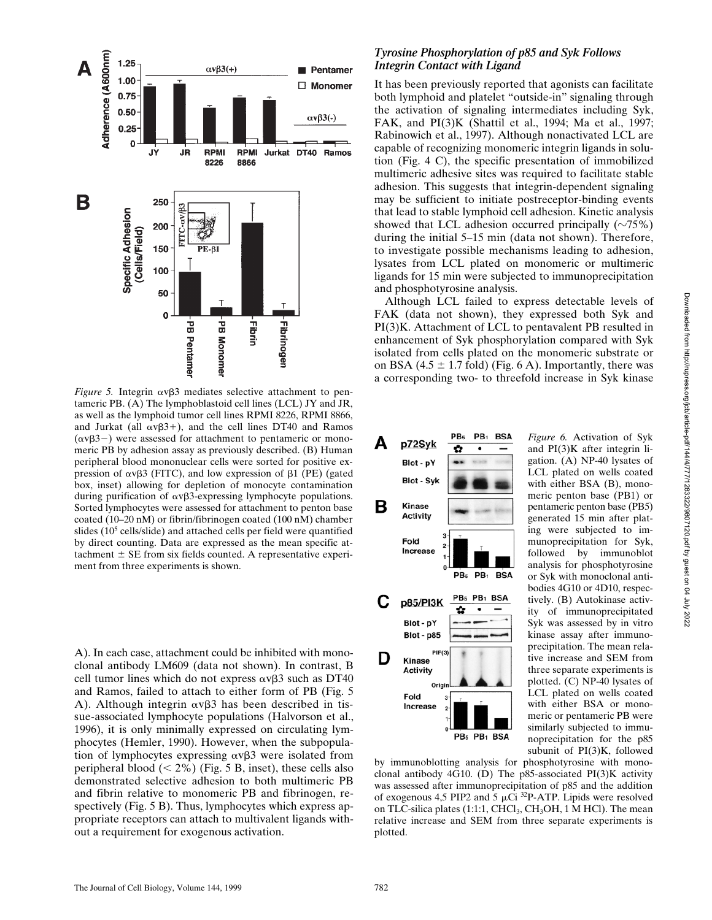

*Figure 5.* Integrin  $\alpha v\beta 3$  mediates selective attachment to pentameric PB. (A) The lymphoblastoid cell lines (LCL) JY and JR, as well as the lymphoid tumor cell lines RPMI 8226, RPMI 8866, and Jurkat (all  $\alpha v\beta3+$ ), and the cell lines DT40 and Ramos  $(\alpha \nu \beta3-)$  were assessed for attachment to pentameric or monomeric PB by adhesion assay as previously described. (B) Human peripheral blood mononuclear cells were sorted for positive expression of  $\alpha v\beta3$  (FITC), and low expression of  $\beta1$  (PE) (gated box, inset) allowing for depletion of monocyte contamination during purification of  $\alpha v\beta3$ -expressing lymphocyte populations. Sorted lymphocytes were assessed for attachment to penton base coated (10–20 nM) or fibrin/fibrinogen coated (100 nM) chamber slides (10<sup>5</sup> cells/slide) and attached cells per field were quantified by direct counting. Data are expressed as the mean specific attachment  $\pm$  SE from six fields counted. A representative experiment from three experiments is shown.

A). In each case, attachment could be inhibited with monoclonal antibody LM609 (data not shown). In contrast, B cell tumor lines which do not express  $\alpha v\beta3$  such as DT40 and Ramos, failed to attach to either form of PB (Fig. 5 A). Although integrin  $\alpha \nu \beta$ 3 has been described in tissue-associated lymphocyte populations (Halvorson et al., 1996), it is only minimally expressed on circulating lymphocytes (Hemler, 1990). However, when the subpopulation of lymphocytes expressing  $\alpha \nu \beta$ 3 were isolated from peripheral blood  $(< 2\%$ ) (Fig. 5 B, inset), these cells also demonstrated selective adhesion to both multimeric PB and fibrin relative to monomeric PB and fibrinogen, respectively (Fig. 5 B). Thus, lymphocytes which express appropriate receptors can attach to multivalent ligands without a requirement for exogenous activation.

## *Tyrosine Phosphorylation of p85 and Syk Follows Integrin Contact with Ligand*

It has been previously reported that agonists can facilitate both lymphoid and platelet "outside-in" signaling through the activation of signaling intermediates including Syk, FAK, and PI(3)K (Shattil et al., 1994; Ma et al., 1997; Rabinowich et al., 1997). Although nonactivated LCL are capable of recognizing monomeric integrin ligands in solution (Fig. 4 C), the specific presentation of immobilized multimeric adhesive sites was required to facilitate stable adhesion. This suggests that integrin-dependent signaling may be sufficient to initiate postreceptor-binding events that lead to stable lymphoid cell adhesion. Kinetic analysis showed that LCL adhesion occurred principally  $(\sim 75\%)$ during the initial 5–15 min (data not shown). Therefore, to investigate possible mechanisms leading to adhesion, lysates from LCL plated on monomeric or multimeric ligands for 15 min were subjected to immunoprecipitation and phosphotyrosine analysis.

Although LCL failed to express detectable levels of FAK (data not shown), they expressed both Syk and PI(3)K. Attachment of LCL to pentavalent PB resulted in enhancement of Syk phosphorylation compared with Syk isolated from cells plated on the monomeric substrate or on BSA (4.5  $\pm$  1.7 fold) (Fig. 6 A). Importantly, there was a corresponding two- to threefold increase in Syk kinase



*Figure 6.* Activation of Syk and PI(3)K after integrin ligation. (A) NP-40 lysates of LCL plated on wells coated with either BSA (B), monomeric penton base (PB1) or pentameric penton base (PB5) generated 15 min after plating were subjected to immunoprecipitation for Syk, followed by immunoblot analysis for phosphotyrosine or Syk with monoclonal antibodies 4G10 or 4D10, respectively. (B) Autokinase activity of immunoprecipitated Syk was assessed by in vitro kinase assay after immunoprecipitation. The mean relative increase and SEM from three separate experiments is plotted. (C) NP-40 lysates of LCL plated on wells coated with either BSA or monomeric or pentameric PB were similarly subjected to immunoprecipitation for the p85 subunit of PI(3)K, followed

by immunoblotting analysis for phosphotyrosine with monoclonal antibody 4G10. (D) The p85-associated PI(3)K activity was assessed after immunoprecipitation of p85 and the addition of exogenous 4,5 PIP2 and 5  $\mu$ Ci <sup>32</sup>P-ATP. Lipids were resolved on TLC-silica plates (1:1:1, CHCl<sub>3</sub>, CH<sub>3</sub>OH, 1 M HCl). The mean relative increase and SEM from three separate experiments is plotted.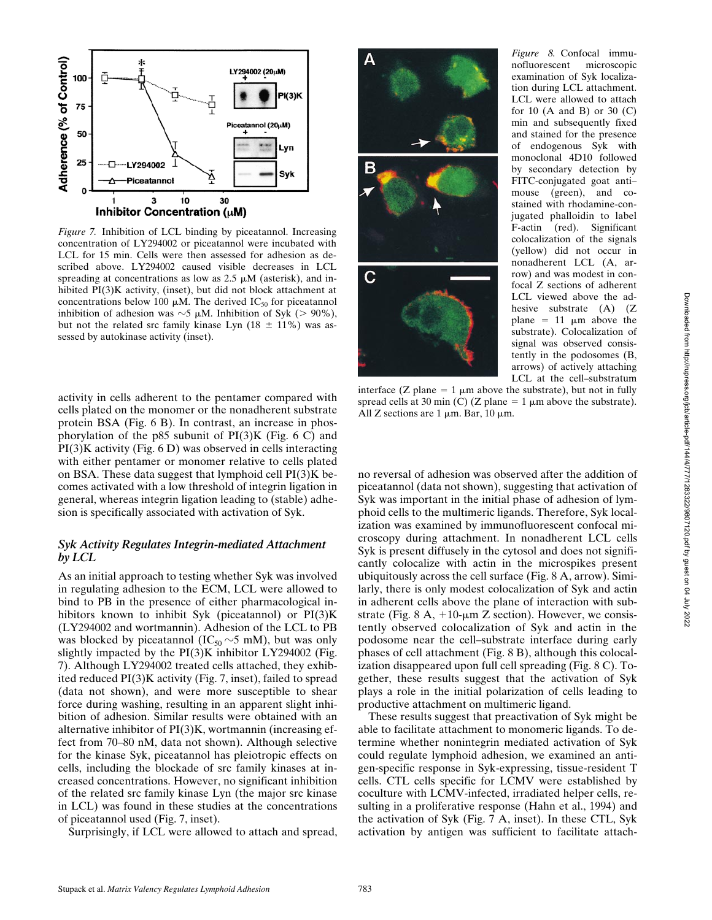

*Figure 7.* Inhibition of LCL binding by piceatannol. Increasing concentration of LY294002 or piceatannol were incubated with LCL for 15 min. Cells were then assessed for adhesion as described above. LY294002 caused visible decreases in LCL spreading at concentrations as low as  $2.5 \mu M$  (asterisk), and inhibited PI(3)K activity, (inset), but did not block attachment at concentrations below 100  $\mu$ M. The derived IC<sub>50</sub> for piceatannol inhibition of adhesion was  $\sim$ 5  $\mu$ M. Inhibition of Syk (> 90%), but not the related src family kinase Lyn  $(18 \pm 11\%)$  was assessed by autokinase activity (inset).

activity in cells adherent to the pentamer compared with cells plated on the monomer or the nonadherent substrate protein BSA (Fig. 6 B). In contrast, an increase in phosphorylation of the p85 subunit of  $PI(3)K$  (Fig. 6 C) and PI(3)K activity (Fig. 6 D) was observed in cells interacting with either pentamer or monomer relative to cells plated on BSA. These data suggest that lymphoid cell PI(3)K becomes activated with a low threshold of integrin ligation in general, whereas integrin ligation leading to (stable) adhesion is specifically associated with activation of Syk.

## *Syk Activity Regulates Integrin-mediated Attachment by LCL*

As an initial approach to testing whether Syk was involved in regulating adhesion to the ECM, LCL were allowed to bind to PB in the presence of either pharmacological inhibitors known to inhibit Syk (piceatannol) or PI(3)K (LY294002 and wortmannin). Adhesion of the LCL to PB was blocked by piceatannol ( $IC_{50} \sim 5$  mM), but was only slightly impacted by the  $PI(3)K$  inhibitor LY294002 (Fig. 7). Although LY294002 treated cells attached, they exhibited reduced PI(3)K activity (Fig. 7, inset), failed to spread (data not shown), and were more susceptible to shear force during washing, resulting in an apparent slight inhibition of adhesion. Similar results were obtained with an alternative inhibitor of PI(3)K, wortmannin (increasing effect from 70–80 nM, data not shown). Although selective for the kinase Syk, piceatannol has pleiotropic effects on cells, including the blockade of src family kinases at increased concentrations. However, no significant inhibition of the related src family kinase Lyn (the major src kinase in LCL) was found in these studies at the concentrations of piceatannol used (Fig. 7, inset).

Surprisingly, if LCL were allowed to attach and spread,



*Figure 8.* Confocal immunofluorescent microscopic examination of Syk localization during LCL attachment. LCL were allowed to attach for 10 (A and B) or 30 (C) min and subsequently fixed and stained for the presence of endogenous Syk with monoclonal 4D10 followed by secondary detection by FITC-conjugated goat anti– mouse (green), and costained with rhodamine-conjugated phalloidin to label F-actin (red). Significant colocalization of the signals (yellow) did not occur in nonadherent LCL (A, arrow) and was modest in confocal Z sections of adherent LCL viewed above the adhesive substrate (A) (Z) plane =  $11 \mu m$  above the substrate). Colocalization of signal was observed consistently in the podosomes (B, arrows) of actively attaching LCL at the cell–substratum

interface (Z plane = 1  $\mu$ m above the substrate), but not in fully spread cells at 30 min (C) (Z plane =  $1 \mu$ m above the substrate). All Z sections are  $1 \mu m$ . Bar,  $10 \mu m$ .

no reversal of adhesion was observed after the addition of piceatannol (data not shown), suggesting that activation of Syk was important in the initial phase of adhesion of lymphoid cells to the multimeric ligands. Therefore, Syk localization was examined by immunofluorescent confocal microscopy during attachment. In nonadherent LCL cells Syk is present diffusely in the cytosol and does not significantly colocalize with actin in the microspikes present ubiquitously across the cell surface (Fig. 8 A, arrow). Similarly, there is only modest colocalization of Syk and actin in adherent cells above the plane of interaction with substrate (Fig. 8 A,  $+10$ - $\mu$ m Z section). However, we consistently observed colocalization of Syk and actin in the podosome near the cell–substrate interface during early phases of cell attachment (Fig. 8 B), although this colocalization disappeared upon full cell spreading (Fig. 8 C). Together, these results suggest that the activation of Syk plays a role in the initial polarization of cells leading to productive attachment on multimeric ligand.

These results suggest that preactivation of Syk might be able to facilitate attachment to monomeric ligands. To determine whether nonintegrin mediated activation of Syk could regulate lymphoid adhesion, we examined an antigen-specific response in Syk-expressing, tissue-resident T cells. CTL cells specific for LCMV were established by coculture with LCMV-infected, irradiated helper cells, resulting in a proliferative response (Hahn et al., 1994) and the activation of Syk (Fig. 7 A, inset). In these CTL, Syk activation by antigen was sufficient to facilitate attach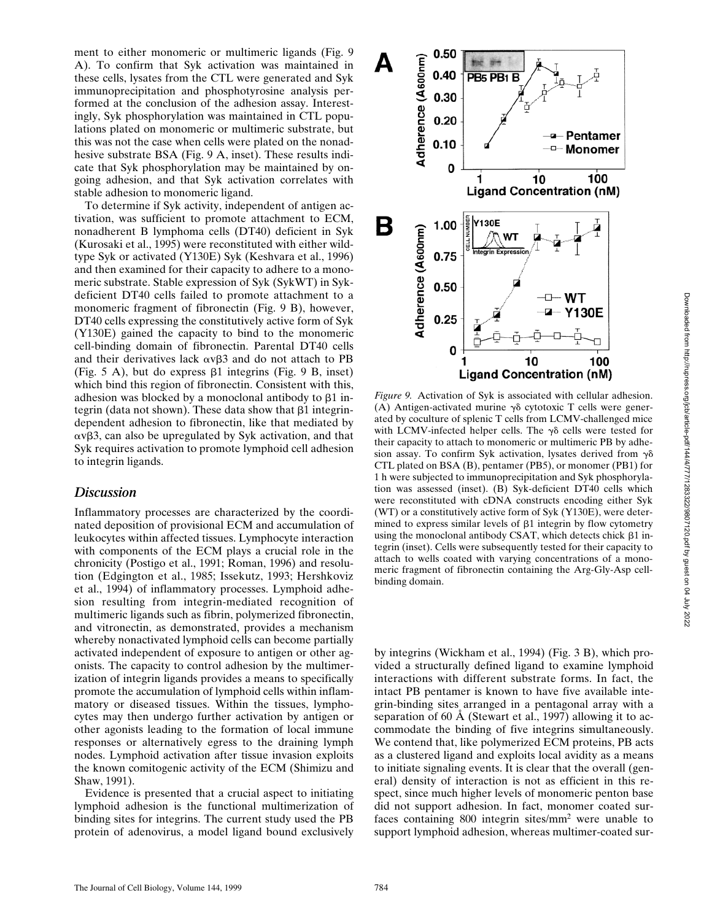ment to either monomeric or multimeric ligands (Fig. 9 A). To confirm that Syk activation was maintained in these cells, lysates from the CTL were generated and Syk immunoprecipitation and phosphotyrosine analysis performed at the conclusion of the adhesion assay. Interestingly, Syk phosphorylation was maintained in CTL populations plated on monomeric or multimeric substrate, but this was not the case when cells were plated on the nonadhesive substrate BSA (Fig. 9 A, inset). These results indicate that Syk phosphorylation may be maintained by ongoing adhesion, and that Syk activation correlates with stable adhesion to monomeric ligand.

To determine if Syk activity, independent of antigen activation, was sufficient to promote attachment to ECM, nonadherent B lymphoma cells (DT40) deficient in Syk (Kurosaki et al., 1995) were reconstituted with either wildtype Syk or activated (Y130E) Syk (Keshvara et al., 1996) and then examined for their capacity to adhere to a monomeric substrate. Stable expression of Syk (SykWT) in Sykdeficient DT40 cells failed to promote attachment to a monomeric fragment of fibronectin (Fig. 9 B), however, DT40 cells expressing the constitutively active form of Syk (Y130E) gained the capacity to bind to the monomeric cell-binding domain of fibronectin. Parental DT40 cells and their derivatives lack  $\alpha v\beta3$  and do not attach to PB (Fig. 5 A), but do express  $\beta$ 1 integrins (Fig. 9 B, inset) which bind this region of fibronectin. Consistent with this, adhesion was blocked by a monoclonal antibody to  $\beta$ 1 integrin (data not shown). These data show that  $\beta$ 1 integrindependent adhesion to fibronectin, like that mediated by  $\alpha \overline{v}$ B3, can also be upregulated by Syk activation, and that Syk requires activation to promote lymphoid cell adhesion to integrin ligands.

# *Discussion*

Inflammatory processes are characterized by the coordinated deposition of provisional ECM and accumulation of leukocytes within affected tissues. Lymphocyte interaction with components of the ECM plays a crucial role in the chronicity (Postigo et al., 1991; Roman, 1996) and resolution (Edgington et al., 1985; Issekutz, 1993; Hershkoviz et al., 1994) of inflammatory processes. Lymphoid adhesion resulting from integrin-mediated recognition of multimeric ligands such as fibrin, polymerized fibronectin, and vitronectin, as demonstrated, provides a mechanism whereby nonactivated lymphoid cells can become partially activated independent of exposure to antigen or other agonists. The capacity to control adhesion by the multimerization of integrin ligands provides a means to specifically promote the accumulation of lymphoid cells within inflammatory or diseased tissues. Within the tissues, lymphocytes may then undergo further activation by antigen or other agonists leading to the formation of local immune responses or alternatively egress to the draining lymph nodes. Lymphoid activation after tissue invasion exploits the known comitogenic activity of the ECM (Shimizu and Shaw, 1991).

Evidence is presented that a crucial aspect to initiating lymphoid adhesion is the functional multimerization of binding sites for integrins. The current study used the PB protein of adenovirus, a model ligand bound exclusively



*Figure 9.* Activation of Syk is associated with cellular adhesion. (A) Antigen-activated murine  $\gamma\delta$  cytotoxic T cells were generated by coculture of splenic T cells from LCMV-challenged mice with LCMV-infected helper cells. The  $\gamma\delta$  cells were tested for their capacity to attach to monomeric or multimeric PB by adhesion assay. To confirm Syk activation, lysates derived from  $\gamma\delta$ CTL plated on BSA (B), pentamer (PB5), or monomer (PB1) for 1 h were subjected to immunoprecipitation and Syk phosphorylation was assessed (inset). (B) Syk-deficient DT40 cells which were reconstituted with cDNA constructs encoding either Syk (WT) or a constitutively active form of Syk (Y130E), were determined to express similar levels of  $\beta$ 1 integrin by flow cytometry using the monoclonal antibody CSAT, which detects chick  $\beta$ 1 integrin (inset). Cells were subsequently tested for their capacity to attach to wells coated with varying concentrations of a monomeric fragment of fibronectin containing the Arg-Gly-Asp cellbinding domain.

by integrins (Wickham et al., 1994) (Fig. 3 B), which provided a structurally defined ligand to examine lymphoid interactions with different substrate forms. In fact, the intact PB pentamer is known to have five available integrin-binding sites arranged in a pentagonal array with a separation of 60 Å (Stewart et al., 1997) allowing it to accommodate the binding of five integrins simultaneously. We contend that, like polymerized ECM proteins, PB acts as a clustered ligand and exploits local avidity as a means to initiate signaling events. It is clear that the overall (general) density of interaction is not as efficient in this respect, since much higher levels of monomeric penton base did not support adhesion. In fact, monomer coated surfaces containing 800 integrin sites/mm<sup>2</sup> were unable to support lymphoid adhesion, whereas multimer-coated sur-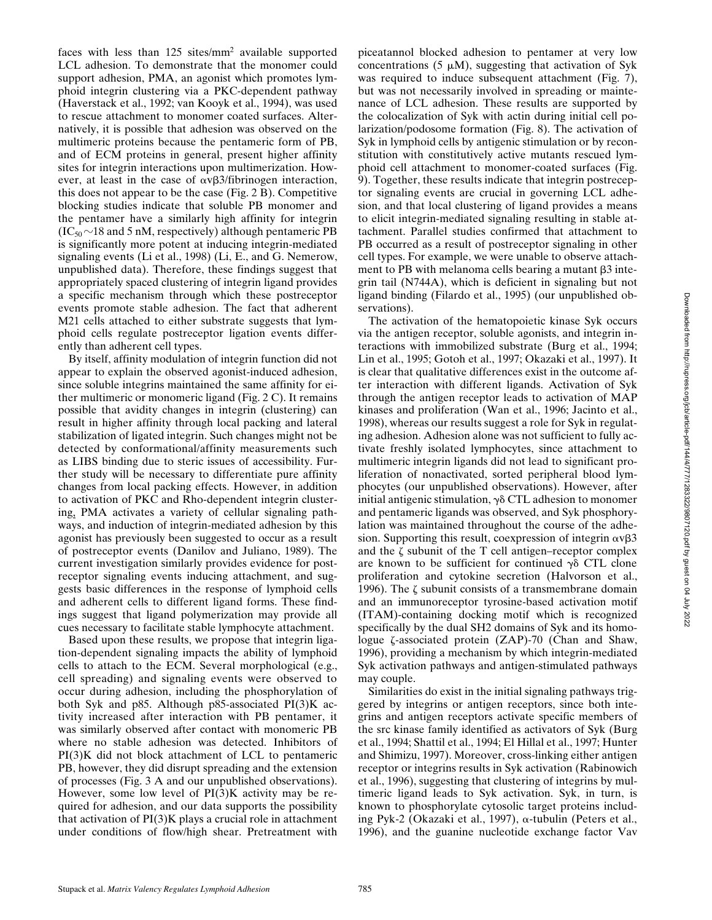faces with less than 125 sites/mm<sup>2</sup> available supported LCL adhesion. To demonstrate that the monomer could support adhesion, PMA, an agonist which promotes lymphoid integrin clustering via a PKC-dependent pathway (Haverstack et al., 1992; van Kooyk et al., 1994), was used to rescue attachment to monomer coated surfaces. Alternatively, it is possible that adhesion was observed on the multimeric proteins because the pentameric form of PB, and of ECM proteins in general, present higher affinity sites for integrin interactions upon multimerization. However, at least in the case of  $\alpha \nu \beta 3$ /fibrinogen interaction, this does not appear to be the case (Fig. 2 B). Competitive blocking studies indicate that soluble PB monomer and the pentamer have a similarly high affinity for integrin  $(IC_{50} \sim 18$  and 5 nM, respectively) although pentameric PB is significantly more potent at inducing integrin-mediated signaling events (Li et al., 1998) (Li, E., and G. Nemerow, unpublished data). Therefore, these findings suggest that appropriately spaced clustering of integrin ligand provides a specific mechanism through which these postreceptor events promote stable adhesion. The fact that adherent M21 cells attached to either substrate suggests that lymphoid cells regulate postreceptor ligation events differently than adherent cell types.

By itself, affinity modulation of integrin function did not appear to explain the observed agonist-induced adhesion, since soluble integrins maintained the same affinity for either multimeric or monomeric ligand (Fig. 2 C). It remains possible that avidity changes in integrin (clustering) can result in higher affinity through local packing and lateral stabilization of ligated integrin. Such changes might not be detected by conformational/affinity measurements such as LIBS binding due to steric issues of accessibility. Further study will be necessary to differentiate pure affinity changes from local packing effects. However, in addition to activation of PKC and Rho-dependent integrin clustering, PMA activates a variety of cellular signaling pathways, and induction of integrin-mediated adhesion by this agonist has previously been suggested to occur as a result of postreceptor events (Danilov and Juliano, 1989). The current investigation similarly provides evidence for postreceptor signaling events inducing attachment, and suggests basic differences in the response of lymphoid cells and adherent cells to different ligand forms. These findings suggest that ligand polymerization may provide all cues necessary to facilitate stable lymphocyte attachment.

Based upon these results, we propose that integrin ligation-dependent signaling impacts the ability of lymphoid cells to attach to the ECM. Several morphological (e.g., cell spreading) and signaling events were observed to occur during adhesion, including the phosphorylation of both Syk and p85. Although p85-associated PI(3)K activity increased after interaction with PB pentamer, it was similarly observed after contact with monomeric PB where no stable adhesion was detected. Inhibitors of PI(3)K did not block attachment of LCL to pentameric PB, however, they did disrupt spreading and the extension of processes (Fig. 3 A and our unpublished observations). However, some low level of PI(3)K activity may be required for adhesion, and our data supports the possibility that activation of  $PI(3)K$  plays a crucial role in attachment under conditions of flow/high shear. Pretreatment with

piceatannol blocked adhesion to pentamer at very low concentrations (5  $\mu$ M), suggesting that activation of Syk was required to induce subsequent attachment (Fig. 7), but was not necessarily involved in spreading or maintenance of LCL adhesion. These results are supported by the colocalization of Syk with actin during initial cell polarization/podosome formation (Fig. 8). The activation of Syk in lymphoid cells by antigenic stimulation or by reconstitution with constitutively active mutants rescued lymphoid cell attachment to monomer-coated surfaces (Fig. 9). Together, these results indicate that integrin postreceptor signaling events are crucial in governing LCL adhesion, and that local clustering of ligand provides a means to elicit integrin-mediated signaling resulting in stable attachment. Parallel studies confirmed that attachment to PB occurred as a result of postreceptor signaling in other cell types. For example, we were unable to observe attachment to PB with melanoma cells bearing a mutant  $\beta$ 3 integrin tail (N744A), which is deficient in signaling but not ligand binding (Filardo et al., 1995) (our unpublished observations).

The activation of the hematopoietic kinase Syk occurs via the antigen receptor, soluble agonists, and integrin interactions with immobilized substrate (Burg et al., 1994; Lin et al., 1995; Gotoh et al., 1997; Okazaki et al., 1997). It is clear that qualitative differences exist in the outcome after interaction with different ligands. Activation of Syk through the antigen receptor leads to activation of MAP kinases and proliferation (Wan et al., 1996; Jacinto et al., 1998), whereas our results suggest a role for Syk in regulating adhesion. Adhesion alone was not sufficient to fully activate freshly isolated lymphocytes, since attachment to multimeric integrin ligands did not lead to significant proliferation of nonactivated, sorted peripheral blood lymphocytes (our unpublished observations). However, after initial antigenic stimulation,  $\gamma \delta$  CTL adhesion to monomer and pentameric ligands was observed, and Syk phosphorylation was maintained throughout the course of the adhesion. Supporting this result, coexpression of integrin  $\alpha \nu \beta 3$ and the  $\zeta$  subunit of the T cell antigen–receptor complex are known to be sufficient for continued  $\gamma \delta$  CTL clone proliferation and cytokine secretion (Halvorson et al., 1996). The  $\zeta$  subunit consists of a transmembrane domain and an immunoreceptor tyrosine-based activation motif (ITAM)-containing docking motif which is recognized specifically by the dual SH2 domains of Syk and its homologue ζ-associated protein (ZAP)-70 (Chan and Shaw, 1996), providing a mechanism by which integrin-mediated Syk activation pathways and antigen-stimulated pathways may couple.

Similarities do exist in the initial signaling pathways triggered by integrins or antigen receptors, since both integrins and antigen receptors activate specific members of the src kinase family identified as activators of Syk (Burg et al., 1994; Shattil et al., 1994; El Hillal et al., 1997; Hunter and Shimizu, 1997). Moreover, cross-linking either antigen receptor or integrins results in Syk activation (Rabinowich et al., 1996), suggesting that clustering of integrins by multimeric ligand leads to Syk activation. Syk, in turn, is known to phosphorylate cytosolic target proteins including Pyk-2 (Okazaki et al., 1997), a-tubulin (Peters et al., 1996), and the guanine nucleotide exchange factor Vav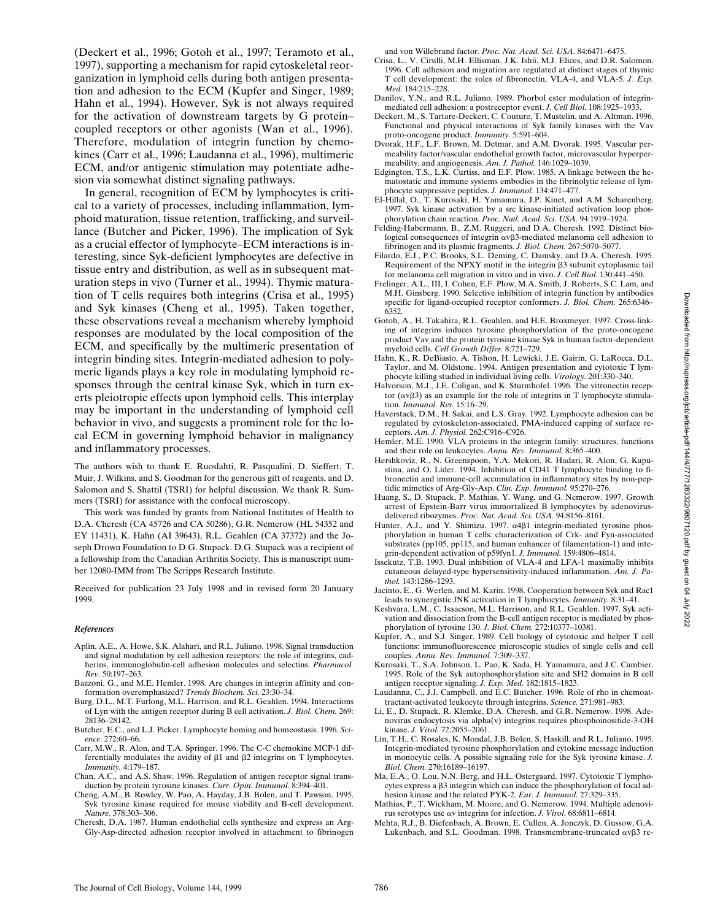(Deckert et al., 1996; Gotoh et al., 1997; Teramoto et al., 1997), supporting a mechanism for rapid cytoskeletal reorganization in lymphoid cells during both antigen presentation and adhesion to the ECM (Kupfer and Singer, 1989; Hahn et al., 1994). However, Syk is not always required for the activation of downstream targets by G protein– coupled receptors or other agonists (Wan et al., 1996). Therefore, modulation of integrin function by chemokines (Carr et al., 1996; Laudanna et al., 1996), multimeric ECM, and/or antigenic stimulation may potentiate adhesion via somewhat distinct signaling pathways.

In general, recognition of ECM by lymphocytes is critical to a variety of processes, including inflammation, lymphoid maturation, tissue retention, trafficking, and surveillance (Butcher and Picker, 1996). The implication of Syk as a crucial effector of lymphocyte–ECM interactions is interesting, since Syk-deficient lymphocytes are defective in tissue entry and distribution, as well as in subsequent maturation steps in vivo (Turner et al., 1994). Thymic maturation of T cells requires both integrins (Crisa et al., 1995) and Syk kinases (Cheng et al., 1995). Taken together, these observations reveal a mechanism whereby lymphoid responses are modulated by the local composition of the ECM, and specifically by the multimeric presentation of integrin binding sites. Integrin-mediated adhesion to polymeric ligands plays a key role in modulating lymphoid responses through the central kinase Syk, which in turn exerts pleiotropic effects upon lymphoid cells. This interplay may be important in the understanding of lymphoid cell behavior in vivo, and suggests a prominent role for the local ECM in governing lymphoid behavior in malignancy and inflammatory processes.

The authors wish to thank E. Ruoslahti, R. Pasqualini, D. Sieffert, T. Muir, J. Wilkins, and S. Goodman for the generous gift of reagents, and D. Salomon and S. Shattil (TSRI) for helpful discussion. We thank R. Summers (TSRI) for assistance with the confocal microscopy.

This work was funded by grants from National Institutes of Health to D.A. Cheresh (CA 45726 and CA 50286), G.R. Nemerow (HL 54352 and EY 11431), K. Hahn (AI 39643), R.L. Geahlen (CA 37372) and the Joseph Drown Foundation to D.G. Stupack. D.G. Stupack was a recipient of a fellowship from the Canadian Arthritis Society. This is manuscript number 12080-IMM from The Scripps Research Institute.

Received for publication 23 July 1998 and in revised form 20 January 1999.

#### *References*

- Aplin, A.E., A. Howe, S.K. Alahari, and R.L. Juliano. 1998. Signal transduction and signal modulation by cell adhesion receptors: the role of integrins, cadherins, immunoglobulin-cell adhesion molecules and selectins. *Pharmacol. Rev.* 50:197–263.
- Bazzoni, G., and M.E. Hemler. 1998. Are changes in integrin affinity and conformation overemphasized? *Trends Biochem. Sci.* 23:30–34.
- Burg, D.L., M.T. Furlong, M.L. Harrison, and R.L. Geahlen. 1994. Interactions of Lyn with the antigen receptor during B cell activation. *J. Biol. Chem.* 269: 28136–28142.
- Butcher, E.C., and L.J. Picker. Lymphocyte homing and homeostasis. 1996. *Science*. 272:60–66.
- Carr, M.W., R. Alon, and T.A. Springer. 1996. The C-C chemokine MCP-1 differentially modulates the avidity of  $\beta$ 1 and  $\beta$ 2 integrins on T lymphocytes. *Immunity.* 4:179–187.
- Chan, A.C., and A.S. Shaw. 1996. Regulation of antigen receptor signal transduction by protein tyrosine kinases. *Curr. Opin. Immunol.* 8:394–401.
- Cheng, A.M., B. Rowley, W. Pao, A. Hayday, J.B. Bolen, and T. Pawson. 1995. Syk tyrosine kinase required for mouse viability and B-cell development. *Nature.* 378:303–306.
- Cheresh, D.A. 1987. Human endothelial cells synthesize and express an Arg-Gly-Asp-directed adhesion receptor involved in attachment to fibrinogen

and von Willebrand factor. *Proc. Nat. Acad. Sci. USA.* 84:6471–6475.

- Crisa, L., V. Cirulli, M.H. Ellisman, J.K. Ishii, M.J. Elices, and D.R. Salomon. 1996. Cell adhesion and migration are regulated at distinct stages of thymic T cell development: the roles of fibronectin, VLA-4, and VLA-5. *J. Exp. Med.* 184:215–228.
- Danilov, Y.N., and R.L. Juliano. 1989. Phorbol ester modulation of integrinmediated cell adhesion: a postreceptor event. *J. Cell Biol.* 108:1925–1933.
- Deckert, M., S. Tartare-Deckert, C. Couture, T. Mustelin, and A. Altman. 1996. Functional and physical interactions of Syk family kinases with the Vav proto-oncogene product. *Immunity.* 5:591–604.
- Dvorak, H.F., L.F. Brown, M. Detmar, and A.M. Dvorak. 1995. Vascular permeability factor/vascular endothelial growth factor, microvascular hyperpermeability, and angiogenesis. *Am. J. Pathol.* 146:1029–1039.
- Edgington, T.S., L.K. Curtiss, and E.F. Plow. 1985. A linkage between the hematostatic and immune systems embodies in the fibrinolytic release of lymphocyte suppressive peptides. *J. Immunol.* 134:471–477.
- El-Hillal, O., T. Kurosaki, H. Yamamura, J.P. Kinet, and A.M. Scharenberg. 1997. Syk kinase activation by a src kinase-initiated activation loop phosphorylation chain reaction. *Proc. Natl. Acad. Sci. USA.* 94:1919–1924.
- Felding-Habermann, B., Z.M. Ruggeri, and D.A. Cheresh. 1992. Distinct biological consequences of integrin  $\alpha v\beta3$ -mediated melanoma cell adhesion to fibrinogen and its plasmic fragments. *J. Biol. Chem.* 267:5070–5077.
- Filardo, E.J., P.C. Brooks, S.L. Deming, C. Damsky, and D.A. Cheresh. 1995. Requirement of the NPXY motif in the integrin  $\beta$ 3 subunit cytoplasmic tail for melanoma cell migration in vitro and in vivo. *J. Cell Biol.* 130:441–450.
- Frelinger, A.L., III, I. Cohen, E.F. Plow, M.A. Smith, J. Roberts, S.C. Lam, and M.H. Ginsberg. 1990. Selective inhibition of integrin function by antibodies specific for ligand-occupied receptor conformers. *J. Biol. Chem.* 265:6346– 6352.
- Gotoh, A., H. Takahira, R.L. Geahlen, and H.E. Broxmeyer. 1997. Cross-linking of integrins induces tyrosine phosphorylation of the proto-oncogene product Vav and the protein tyrosine kinase Syk in human factor-dependent myeloid cells. *Cell Growth Differ.* 8:721–729.
- Hahn, K., R. DeBiasio, A. Tishon, H. Lewicki, J.E. Gairin, G. LaRocca, D.L. Taylor, and M. Oldstone. 1994. Antigen presentation and cytotoxic T lymphocyte killing studied in individual living cells. *Virology.* 201:330–340.
- Halvorson, M.J., J.E. Coligan, and K. Sturmhofel. 1996. The vitronectin receptor  $(\alpha \nu \beta 3)$  as an example for the role of integrins in T lymphocyte stimulation. *Immunol. Res.* 15:16–29.
- Haverstack, D.M., H. Sakai, and L.S. Gray. 1992. Lymphocyte adhesion can be regulated by cytoskeleton-associated, PMA-induced capping of surface receptors. *Am. J. Physiol.* 262:C916–C926.
- Hemler, M.E. 1990. VLA proteins in the integrin family: structures, functions and their role on leukocytes. *Annu. Rev. Immunol.* 8:365–400.
- Hershkoviz, R., N. Greenspoon, Y.A. Mekori, R. Hadari, R. Alon, G. Kapustina, and O. Lider. 1994. Inhibition of CD41 T lymphocyte binding to fibronectin and immune-cell accumulation in inflammatory sites by non-peptidic mimetics of Arg-Gly-Asp. *Clin. Exp. Immunol.* 95:270–276.
- Huang, S., D. Stupack, P. Mathias, Y. Wang, and G. Nemerow. 1997. Growth arrest of Epstein-Barr virus immortalized B lymphocytes by adenovirus-
- delivered ribozymes. *Proc. Nat. Acad. Sci. USA.* 94:8156–8161. Hunter, A.J., and Y. Shimizu. 1997. a4b1 integrin-mediated tyrosine phosphorylation in human T cells: characterization of Crk- and Fyn-associated substrates (pp105, pp115, and human enhancer of filamentation-1) and integrin-dependent activation of p59fyn1. *J. Immunol.* 159:4806–4814.
- Issekutz, T.B. 1993. Dual inhibition of VLA-4 and LFA-1 maximally inhibits cutaneous delayed-type hypersensitivity-induced inflammation. *Am. J. Pathol.* 143:1286–1293.
- Jacinto, E., G. Werlen, and M. Karin. 1998. Cooperation between Syk and Rac1 leads to synergistic JNK activation in T lymphocytes. *Immunity.* 8:31–41.
- Keshvara, L.M., C. Isaacson, M.L. Harrison, and R.L. Geahlen. 1997. Syk activation and dissociation from the B-cell antigen receptor is mediated by phosphorylation of tyrosine 130. *J. Biol. Chem.* 272:10377–10381.
- Kupfer, A., and S.J. Singer. 1989. Cell biology of cytotoxic and helper T cell functions: immunofluorescence microscopic studies of single cells and cell couples. *Annu. Rev. Immunol.* 7:309–337.
- Kurosaki, T., S.A. Johnson, L. Pao, K. Sada, H. Yamamura, and J.C. Cambier. 1995. Role of the Syk autophosphorylation site and SH2 domains in B cell antigen receptor signaling. *J. Exp. Med.* 182:1815–1823.
- Laudanna, C., J.J. Campbell, and E.C. Butcher. 1996. Role of rho in chemoattractant-activated leukocyte through integrins. *Science.* 271:981–983.
- Li, E., D. Stupack, R. Klemke, D.A. Cheresh, and G.R. Nemerow. 1998. Adenovirus endocytosis via alpha(v) integrins requires phosphoinositide-3-OH kinase. *J. Virol.* 72:2055–2061.
- Lin, T.H., C. Rosales, K. Mondal, J.B. Bolen, S. Haskill, and R.L. Juliano. 1995. Integrin-mediated tyrosine phosphorylation and cytokine message induction in monocytic cells. A possible signaling role for the Syk tyrosine kinase. *J. Biol. Chem.* 270:16189–16197.
- Ma, E.A., O. Lou, N.N. Berg, and H.L. Ostergaard. 1997. Cytotoxic T lymphocytes express a  $\beta$ 3 integrin which can induce the phosphorylation of focal adhesion kinase and the related PYK-2. *Eur. J. Immunol.* 27:329–335.
- Mathias, P., T. Wickham, M. Moore, and G. Nemerow. 1994. Multiple adenovirus serotypes use av integrins for infection. *J. Virol*. 68:6811–6814.
- Mehta, R.J., B. Diefenbach, A. Brown, E. Cullen, A. Jonczyk, D. Gussow, G.A. Lukenbach, and S.L. Goodman. 1998. Transmembrane-truncated  $\alpha v\beta$ 3 re-